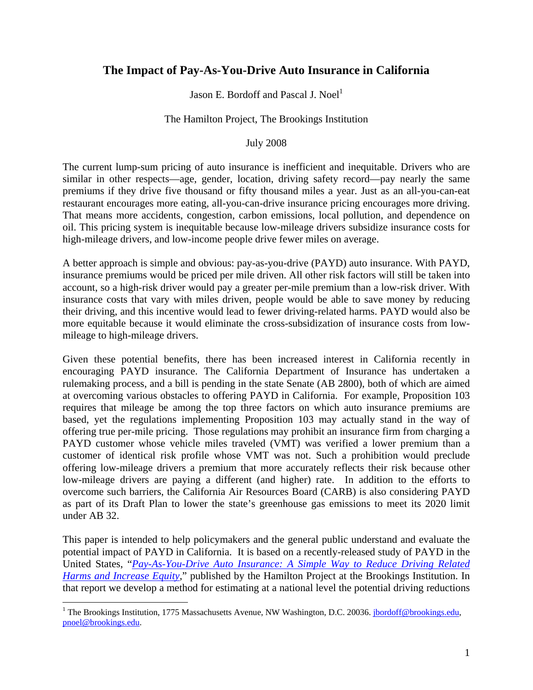# **The Impact of Pay-As-You-Drive Auto Insurance in California**

Jason E. Bordoff and Pascal J. Noel<sup>1</sup>

## The Hamilton Project, The Brookings Institution

## July 2008

The current lump-sum pricing of auto insurance is inefficient and inequitable. Drivers who are similar in other respects—age, gender, location, driving safety record—pay nearly the same premiums if they drive five thousand or fifty thousand miles a year. Just as an all-you-can-eat restaurant encourages more eating, all-you-can-drive insurance pricing encourages more driving. That means more accidents, congestion, carbon emissions, local pollution, and dependence on oil. This pricing system is inequitable because low-mileage drivers subsidize insurance costs for high-mileage drivers, and low-income people drive fewer miles on average.

A better approach is simple and obvious: pay-as-you-drive (PAYD) auto insurance. With PAYD, insurance premiums would be priced per mile driven. All other risk factors will still be taken into account, so a high-risk driver would pay a greater per-mile premium than a low-risk driver. With insurance costs that vary with miles driven, people would be able to save money by reducing their driving, and this incentive would lead to fewer driving-related harms. PAYD would also be more equitable because it would eliminate the cross-subsidization of insurance costs from lowmileage to high-mileage drivers.

Given these potential benefits, there has been increased interest in California recently in encouraging PAYD insurance. The California Department of Insurance has undertaken a rulemaking process, and a bill is pending in the state Senate (AB 2800), both of which are aimed at overcoming various obstacles to offering PAYD in California. For example, Proposition 103 requires that mileage be among the top three factors on which auto insurance premiums are based, yet the regulations implementing Proposition 103 may actually stand in the way of offering true per-mile pricing. Those regulations may prohibit an insurance firm from charging a PAYD customer whose vehicle miles traveled (VMT) was verified a lower premium than a customer of identical risk profile whose VMT was not. Such a prohibition would preclude offering low-mileage drivers a premium that more accurately reflects their risk because other low-mileage drivers are paying a different (and higher) rate. In addition to the efforts to overcome such barriers, the California Air Resources Board (CARB) is also considering PAYD as part of its Draft Plan to lower the state's greenhouse gas emissions to meet its 2020 limit under AB 32.

This paper is intended to help policymakers and the general public understand and evaluate the potential impact of PAYD in California. It is based on a recently-released study of PAYD in the United States, "*[Pay-As-You-Drive Auto Insurance: A Simple Way to Reduce Driving Related](http://www.brookings.edu/~/media/Files/rc/papers/2008/07_payd_bordoffnoel/07_payd_bordoffnoel.pdf) Harms and Increase Equity*," published by the Hamilton Project at the Brookings Institution. In that report we develop a method for estimating at a national level the potential driving reductions

 $\overline{a}$ 

<sup>&</sup>lt;sup>1</sup> The Brookings Institution, 1775 Massachusetts Avenue, NW Washington, D.C. 20036. *jbordoff@brookings.edu*, pnoel@brookings.edu.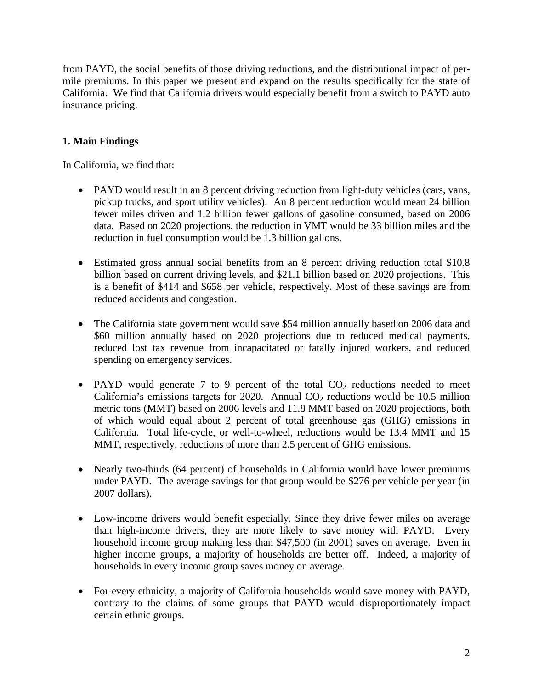from PAYD, the social benefits of those driving reductions, and the distributional impact of permile premiums. In this paper we present and expand on the results specifically for the state of California. We find that California drivers would especially benefit from a switch to PAYD auto insurance pricing.

## **1. Main Findings**

In California, we find that:

- PAYD would result in an 8 percent driving reduction from light-duty vehicles (cars, vans, pickup trucks, and sport utility vehicles). An 8 percent reduction would mean 24 billion fewer miles driven and 1.2 billion fewer gallons of gasoline consumed, based on 2006 data. Based on 2020 projections, the reduction in VMT would be 33 billion miles and the reduction in fuel consumption would be 1.3 billion gallons.
- Estimated gross annual social benefits from an 8 percent driving reduction total \$10.8 billion based on current driving levels, and \$21.1 billion based on 2020 projections. This is a benefit of \$414 and \$658 per vehicle, respectively. Most of these savings are from reduced accidents and congestion.
- The California state government would save \$54 million annually based on 2006 data and \$60 million annually based on 2020 projections due to reduced medical payments, reduced lost tax revenue from incapacitated or fatally injured workers, and reduced spending on emergency services.
- PAYD would generate 7 to 9 percent of the total  $CO<sub>2</sub>$  reductions needed to meet California's emissions targets for 2020. Annual  $CO<sub>2</sub>$  reductions would be 10.5 million metric tons (MMT) based on 2006 levels and 11.8 MMT based on 2020 projections, both of which would equal about 2 percent of total greenhouse gas (GHG) emissions in California. Total life-cycle, or well-to-wheel, reductions would be 13.4 MMT and 15 MMT, respectively, reductions of more than 2.5 percent of GHG emissions.
- Nearly two-thirds (64 percent) of households in California would have lower premiums under PAYD. The average savings for that group would be \$276 per vehicle per year (in 2007 dollars).
- Low-income drivers would benefit especially. Since they drive fewer miles on average than high-income drivers, they are more likely to save money with PAYD. Every household income group making less than \$47,500 (in 2001) saves on average. Even in higher income groups, a majority of households are better off. Indeed, a majority of households in every income group saves money on average.
- For every ethnicity, a majority of California households would save money with PAYD, contrary to the claims of some groups that PAYD would disproportionately impact certain ethnic groups.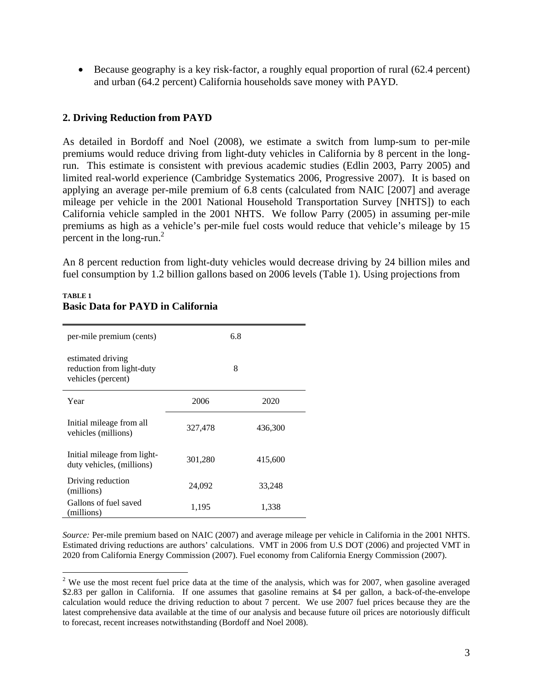• Because geography is a key risk-factor, a roughly equal proportion of rural (62.4 percent) and urban (64.2 percent) California households save money with PAYD.

## **2. Driving Reduction from PAYD**

As detailed in Bordoff and Noel (2008), we estimate a switch from lump-sum to per-mile premiums would reduce driving from light-duty vehicles in California by 8 percent in the longrun. This estimate is consistent with previous academic studies (Edlin 2003, Parry 2005) and limited real-world experience (Cambridge Systematics 2006, Progressive 2007). It is based on applying an average per-mile premium of 6.8 cents (calculated from NAIC [2007] and average mileage per vehicle in the 2001 National Household Transportation Survey [NHTS]) to each California vehicle sampled in the 2001 NHTS. We follow Parry (2005) in assuming per-mile premiums as high as a vehicle's per-mile fuel costs would reduce that vehicle's mileage by 15 percent in the long-run. $2$ 

An 8 percent reduction from light-duty vehicles would decrease driving by 24 billion miles and fuel consumption by 1.2 billion gallons based on 2006 levels (Table 1). Using projections from

| per-mile premium (cents)                                             |         | 6.8     |
|----------------------------------------------------------------------|---------|---------|
| estimated driving<br>reduction from light-duty<br>vehicles (percent) |         | 8       |
| Year                                                                 | 2006    | 2020    |
| Initial mileage from all<br>vehicles (millions)                      | 327,478 | 436,300 |
| Initial mileage from light-<br>duty vehicles, (millions)             | 301,280 | 415,600 |
| Driving reduction<br>(millions)                                      | 24,092  | 33,248  |
| Gallons of fuel saved<br>(millions)                                  | 1,195   | 1,338   |

## **TABLE 1 Basic Data for PAYD in California**

 $\overline{a}$ 

*Source:* Per-mile premium based on NAIC (2007) and average mileage per vehicle in California in the 2001 NHTS. Estimated driving reductions are authors' calculations. VMT in 2006 from U.S DOT (2006) and projected VMT in 2020 from California Energy Commission (2007). Fuel economy from California Energy Commission (2007).

<sup>&</sup>lt;sup>2</sup> We use the most recent fuel price data at the time of the analysis, which was for 2007, when gasoline averaged \$2.83 per gallon in California. If one assumes that gasoline remains at \$4 per gallon, a back-of-the-envelope calculation would reduce the driving reduction to about 7 percent. We use 2007 fuel prices because they are the latest comprehensive data available at the time of our analysis and because future oil prices are notoriously difficult to forecast, recent increases notwithstanding (Bordoff and Noel 2008).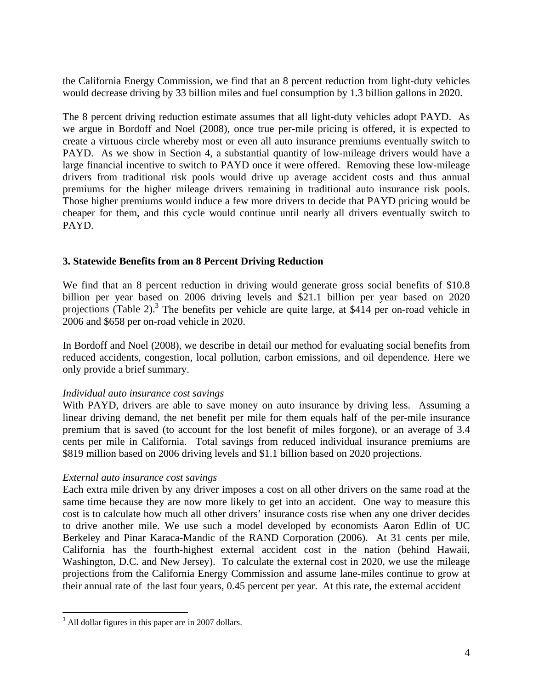the California Energy Commission, we find that an 8 percent reduction from light-duty vehicles would decrease driving by 33 billion miles and fuel consumption by 1.3 billion gallons in 2020.

The 8 percent driving reduction estimate assumes that all light-duty vehicles adopt PAYD. As we argue in Bordoff and Noel (2008), once true per-mile pricing is offered, it is expected to create a virtuous circle whereby most or even all auto insurance premiums eventually switch to PAYD. As we show in Section 4, a substantial quantity of low-mileage drivers would have a large financial incentive to switch to PAYD once it were offered. Removing these low-mileage drivers from traditional risk pools would drive up average accident costs and thus annual premiums for the higher mileage drivers remaining in traditional auto insurance risk pools. Those higher premiums would induce a few more drivers to decide that PAYD pricing would be cheaper for them, and this cycle would continue until nearly all drivers eventually switch to PAYD.

## **3. Statewide Benefits from an 8 Percent Driving Reduction**

We find that an 8 percent reduction in driving would generate gross social benefits of \$10.8 billion per year based on 2006 driving levels and \$21.1 billion per year based on 2020 projections (Table 2).<sup>3</sup> The benefits per vehicle are quite large, at \$414 per on-road vehicle in 2006 and \$658 per on-road vehicle in 2020.

In Bordoff and Noel (2008), we describe in detail our method for evaluating social benefits from reduced accidents, congestion, local pollution, carbon emissions, and oil dependence. Here we only provide a brief summary.

## *Individual auto insurance cost savings*

With PAYD, drivers are able to save money on auto insurance by driving less. Assuming a linear driving demand, the net benefit per mile for them equals half of the per-mile insurance premium that is saved (to account for the lost benefit of miles forgone), or an average of 3.4 cents per mile in California. Total savings from reduced individual insurance premiums are \$819 million based on 2006 driving levels and \$1.1 billion based on 2020 projections.

## *External auto insurance cost savings*

Each extra mile driven by any driver imposes a cost on all other drivers on the same road at the same time because they are now more likely to get into an accident. One way to measure this cost is to calculate how much all other drivers' insurance costs rise when any one driver decides to drive another mile. We use such a model developed by economists Aaron Edlin of UC Berkeley and Pinar Karaca-Mandic of the RAND Corporation (2006). At 31 cents per mile, California has the fourth-highest external accident cost in the nation (behind Hawaii, Washington, D.C. and New Jersey). To calculate the external cost in 2020, we use the mileage projections from the California Energy Commission and assume lane-miles continue to grow at their annual rate of the last four years, 0.45 percent per year. At this rate, the external accident

 $\overline{a}$ 

 $3$  All dollar figures in this paper are in 2007 dollars.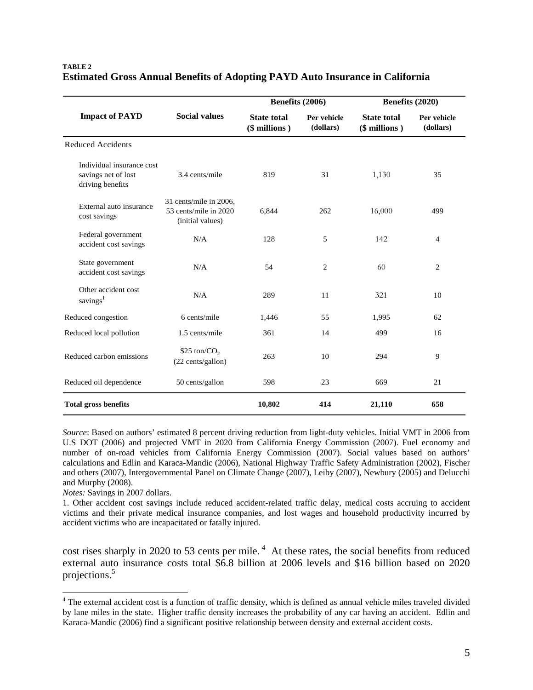|                                                                      |                                                                     | Benefits (2006)                     |                          | Benefits (2020)                     |                          |
|----------------------------------------------------------------------|---------------------------------------------------------------------|-------------------------------------|--------------------------|-------------------------------------|--------------------------|
| <b>Impact of PAYD</b>                                                | <b>Social values</b>                                                | <b>State total</b><br>(\$ millions) | Per vehicle<br>(dollars) | <b>State total</b><br>(\$ millions) | Per vehicle<br>(dollars) |
| <b>Reduced Accidents</b>                                             |                                                                     |                                     |                          |                                     |                          |
| Individual insurance cost<br>savings net of lost<br>driving benefits | 3.4 cents/mile                                                      | 819                                 | 31                       | 1,130                               | 35                       |
| External auto insurance<br>cost savings                              | 31 cents/mile in 2006,<br>53 cents/mile in 2020<br>(initial values) | 6,844                               | 262                      | 16,000                              | 499                      |
| Federal government<br>accident cost savings                          | N/A                                                                 | 128                                 | 5                        | 142                                 | $\overline{4}$           |
| State government<br>accident cost savings                            | N/A                                                                 | 54                                  | $\overline{c}$           | 60                                  | $\overline{c}$           |
| Other accident cost<br>savings <sup>1</sup>                          | N/A                                                                 | 289                                 | 11                       | 321                                 | 10                       |
| Reduced congestion                                                   | 6 cents/mile                                                        | 1,446                               | 55                       | 1,995                               | 62                       |
| Reduced local pollution                                              | 1.5 cents/mile                                                      | 361                                 | 14                       | 499                                 | 16                       |
| Reduced carbon emissions                                             | $$25 \text{ ton} / \text{CO}_2$$<br>(22 cents/gallon)               | 263                                 | 10                       | 294                                 | 9                        |
| Reduced oil dependence                                               | 50 cents/gallon                                                     | 598                                 | 23                       | 669                                 | 21                       |
| <b>Total gross benefits</b>                                          |                                                                     | 10,802                              | 414                      | 21,110                              | 658                      |

#### **TABLE 2 Estimated Gross Annual Benefits of Adopting PAYD Auto Insurance in California**

*Source*: Based on authors' estimated 8 percent driving reduction from light-duty vehicles. Initial VMT in 2006 from U.S DOT (2006) and projected VMT in 2020 from California Energy Commission (2007). Fuel economy and number of on-road vehicles from California Energy Commission (2007). Social values based on authors' calculations and Edlin and Karaca-Mandic (2006), National Highway Traffic Safety Administration (2002), Fischer and others (2007), Intergovernmental Panel on Climate Change (2007), Leiby (2007), Newbury (2005) and Delucchi and Murphy (2008).

*Notes:* Savings in 2007 dollars.

 $\overline{a}$ 

1. Other accident cost savings include reduced accident-related traffic delay, medical costs accruing to accident victims and their private medical insurance companies, and lost wages and household productivity incurred by accident victims who are incapacitated or fatally injured.

cost rises sharply in 2020 to 53 cents per mile.<sup>4</sup> At these rates, the social benefits from reduced external auto insurance costs total \$6.8 billion at 2006 levels and \$16 billion based on 2020 projections.5

<sup>&</sup>lt;sup>4</sup> The external accident cost is a function of traffic density, which is defined as annual vehicle miles traveled divided by lane miles in the state. Higher traffic density increases the probability of any car having an accident. Edlin and Karaca-Mandic (2006) find a significant positive relationship between density and external accident costs.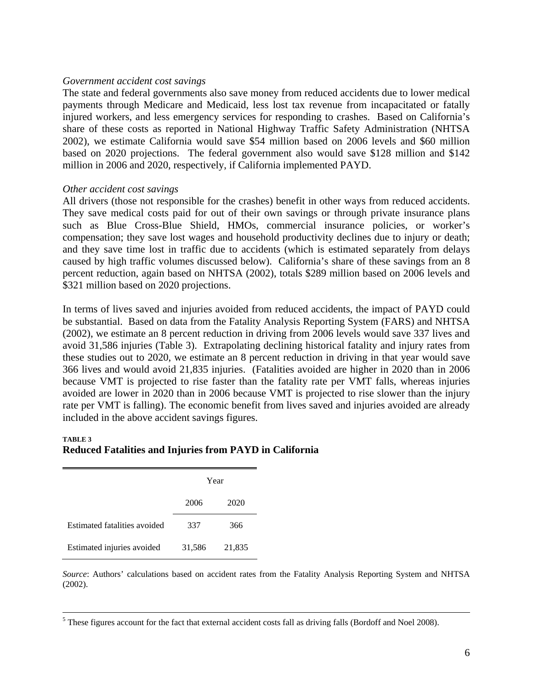#### *Government accident cost savings*

The state and federal governments also save money from reduced accidents due to lower medical payments through Medicare and Medicaid, less lost tax revenue from incapacitated or fatally injured workers, and less emergency services for responding to crashes. Based on California's share of these costs as reported in National Highway Traffic Safety Administration (NHTSA 2002), we estimate California would save \$54 million based on 2006 levels and \$60 million based on 2020 projections. The federal government also would save \$128 million and \$142 million in 2006 and 2020, respectively, if California implemented PAYD.

#### *Other accident cost savings*

All drivers (those not responsible for the crashes) benefit in other ways from reduced accidents. They save medical costs paid for out of their own savings or through private insurance plans such as Blue Cross-Blue Shield, HMOs, commercial insurance policies, or worker's compensation; they save lost wages and household productivity declines due to injury or death; and they save time lost in traffic due to accidents (which is estimated separately from delays caused by high traffic volumes discussed below). California's share of these savings from an 8 percent reduction, again based on NHTSA (2002), totals \$289 million based on 2006 levels and \$321 million based on 2020 projections.

In terms of lives saved and injuries avoided from reduced accidents, the impact of PAYD could be substantial. Based on data from the Fatality Analysis Reporting System (FARS) and NHTSA (2002), we estimate an 8 percent reduction in driving from 2006 levels would save 337 lives and avoid 31,586 injuries (Table 3). Extrapolating declining historical fatality and injury rates from these studies out to 2020, we estimate an 8 percent reduction in driving in that year would save 366 lives and would avoid 21,835 injuries. (Fatalities avoided are higher in 2020 than in 2006 because VMT is projected to rise faster than the fatality rate per VMT falls, whereas injuries avoided are lower in 2020 than in 2006 because VMT is projected to rise slower than the injury rate per VMT is falling). The economic benefit from lives saved and injuries avoided are already included in the above accident savings figures.

#### **TABLE 3 Reduced Fatalities and Injuries from PAYD in California**

|                              | Year   |        |  |
|------------------------------|--------|--------|--|
|                              | 2006   | 2020   |  |
| Estimated fatalities avoided | 337    | 366    |  |
| Estimated injuries avoided   | 31,586 | 21,835 |  |

*Source*: Authors' calculations based on accident rates from the Fatality Analysis Reporting System and NHTSA (2002).

 $\frac{1}{5}$ <sup>5</sup> These figures account for the fact that external accident costs fall as driving falls (Bordoff and Noel 2008).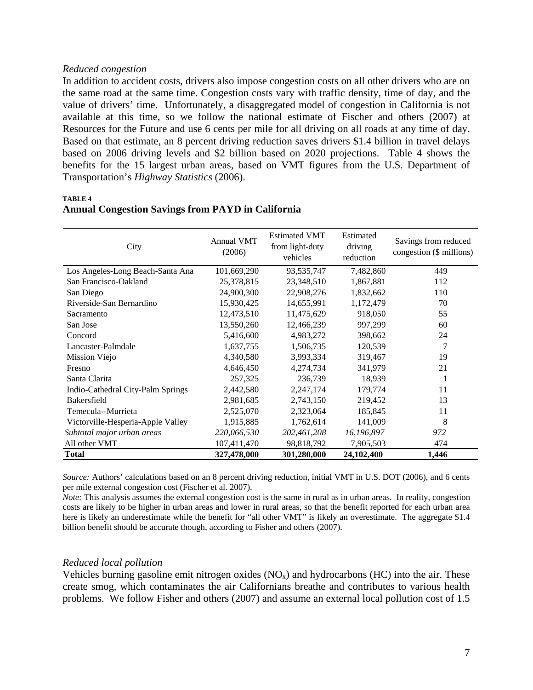#### *Reduced congestion*

In addition to accident costs, drivers also impose congestion costs on all other drivers who are on the same road at the same time. Congestion costs vary with traffic density, time of day, and the value of drivers' time. Unfortunately, a disaggregated model of congestion in California is not available at this time, so we follow the national estimate of Fischer and others (2007) at Resources for the Future and use 6 cents per mile for all driving on all roads at any time of day. Based on that estimate, an 8 percent driving reduction saves drivers \$1.4 billion in travel delays based on 2006 driving levels and \$2 billion based on 2020 projections. Table 4 shows the benefits for the 15 largest urban areas, based on VMT figures from the U.S. Department of Transportation's *Highway Statistics* (2006).

**TABLE 4** 

| City                              | <b>Annual VMT</b><br>(2006) | <b>Estimated VMT</b><br>from light-duty<br>vehicles | Estimated<br>driving<br>reduction | Savings from reduced<br>congestion (\$ millions) |
|-----------------------------------|-----------------------------|-----------------------------------------------------|-----------------------------------|--------------------------------------------------|
| Los Angeles-Long Beach-Santa Ana  | 101,669,290                 | 93,535,747                                          | 7,482,860                         | 449                                              |
| San Francisco-Oakland             | 25,378,815                  | 23,348,510                                          | 1,867,881                         | 112                                              |
| San Diego                         | 24,900,300                  | 22,908,276                                          | 1,832,662                         | 110                                              |
| Riverside-San Bernardino          | 15,930,425                  | 14,655,991                                          | 1,172,479                         | 70                                               |
| Sacramento                        | 12,473,510                  | 11,475,629                                          | 918,050                           | 55                                               |
| San Jose                          | 13,550,260                  | 12,466,239                                          | 997,299                           | 60                                               |
| Concord                           | 5,416,600                   | 4,983,272                                           | 398,662                           | 24                                               |
| Lancaster-Palmdale                | 1,637,755                   | 1,506,735                                           | 120,539                           | 7                                                |
| Mission Viejo                     | 4,340,580                   | 3,993,334                                           | 319,467                           | 19                                               |
| Fresno                            | 4,646,450                   | 4,274,734                                           | 341,979                           | 21                                               |
| Santa Clarita                     | 257,325                     | 236,739                                             | 18,939                            | 1                                                |
| Indio-Cathedral City-Palm Springs | 2,442,580                   | 2,247,174                                           | 179,774                           | 11                                               |
| Bakersfield                       | 2,981,685                   | 2,743,150                                           | 219,452                           | 13                                               |
| Temecula--Murrieta                | 2,525,070                   | 2,323,064                                           | 185,845                           | 11                                               |
| Victorville-Hesperia-Apple Valley | 1,915,885                   | 1,762,614                                           | 141,009                           | 8                                                |
| Subtotal major urban areas        | 220,066,530                 | 202,461,208                                         | 16,196,897                        | 972                                              |
| All other VMT                     | 107,411,470                 | 98,818,792                                          | 7,905,503                         | 474                                              |
| <b>Total</b>                      | 327,478,000                 | 301,280,000                                         | 24,102,400                        | 1,446                                            |

## **Annual Congestion Savings from PAYD in California**

*Source:* Authors' calculations based on an 8 percent driving reduction, initial VMT in U.S. DOT (2006), and 6 cents per mile external congestion cost (Fischer et al. 2007).

*Note:* This analysis assumes the external congestion cost is the same in rural as in urban areas. In reality, congestion costs are likely to be higher in urban areas and lower in rural areas, so that the benefit reported for each urban area here is likely an underestimate while the benefit for "all other VMT" is likely an overestimate. The aggregate \$1.4 billion benefit should be accurate though, according to Fisher and others (2007).

## *Reduced local pollution*

Vehicles burning gasoline emit nitrogen oxides  $(NO_x)$  and hydrocarbons  $(HC)$  into the air. These create smog, which contaminates the air Californians breathe and contributes to various health problems. We follow Fisher and others (2007) and assume an external local pollution cost of 1.5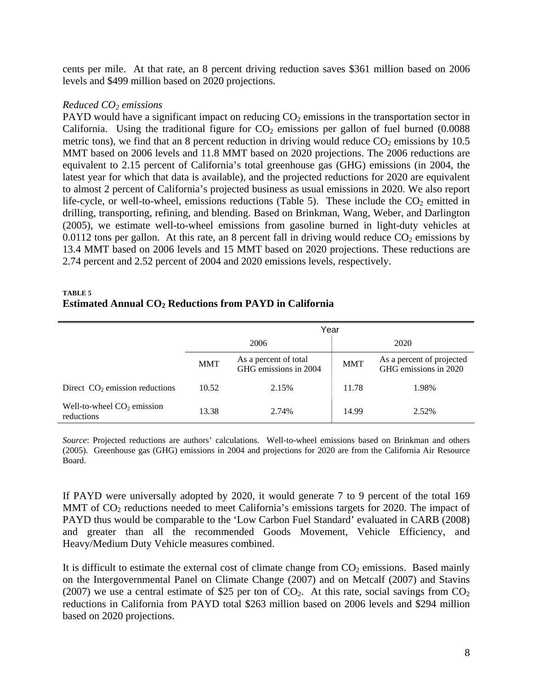cents per mile. At that rate, an 8 percent driving reduction saves \$361 million based on 2006 levels and \$499 million based on 2020 projections.

## *Reduced CO2 emissions*

PAYD would have a significant impact on reducing  $CO<sub>2</sub>$  emissions in the transportation sector in California. Using the traditional figure for  $CO<sub>2</sub>$  emissions per gallon of fuel burned (0.0088) metric tons), we find that an 8 percent reduction in driving would reduce  $CO<sub>2</sub>$  emissions by 10.5 MMT based on 2006 levels and 11.8 MMT based on 2020 projections. The 2006 reductions are equivalent to 2.15 percent of California's total greenhouse gas (GHG) emissions (in 2004, the latest year for which that data is available), and the projected reductions for 2020 are equivalent to almost 2 percent of California's projected business as usual emissions in 2020. We also report life-cycle, or well-to-wheel, emissions reductions (Table 5). These include the  $CO<sub>2</sub>$  emitted in drilling, transporting, refining, and blending. Based on Brinkman, Wang, Weber, and Darlington (2005), we estimate well-to-wheel emissions from gasoline burned in light-duty vehicles at 0.0112 tons per gallon. At this rate, an 8 percent fall in driving would reduce  $CO_2$  emissions by 13.4 MMT based on 2006 levels and 15 MMT based on 2020 projections. These reductions are 2.74 percent and 2.52 percent of 2004 and 2020 emissions levels, respectively.

#### **TABLE 5 Estimated Annual CO2 Reductions from PAYD in California**

|                                            | Year       |                                                |            |                                                    |
|--------------------------------------------|------------|------------------------------------------------|------------|----------------------------------------------------|
|                                            | 2006       |                                                |            | 2020                                               |
|                                            | <b>MMT</b> | As a percent of total<br>GHG emissions in 2004 | <b>MMT</b> | As a percent of projected<br>GHG emissions in 2020 |
| Direct $CO2$ emission reductions           | 10.52      | 2.15%                                          | 11.78      | 1.98%                                              |
| Well-to-wheel $CO2$ emission<br>reductions | 13.38      | 2.74%                                          | 14.99      | 2.52%                                              |

*Source*: Projected reductions are authors' calculations. Well-to-wheel emissions based on Brinkman and others (2005). Greenhouse gas (GHG) emissions in 2004 and projections for 2020 are from the California Air Resource Board.

If PAYD were universally adopted by 2020, it would generate 7 to 9 percent of the total 169 MMT of  $CO<sub>2</sub>$  reductions needed to meet California's emissions targets for 2020. The impact of PAYD thus would be comparable to the 'Low Carbon Fuel Standard' evaluated in CARB (2008) and greater than all the recommended Goods Movement, Vehicle Efficiency, and Heavy/Medium Duty Vehicle measures combined.

It is difficult to estimate the external cost of climate change from  $CO<sub>2</sub>$  emissions. Based mainly on the Intergovernmental Panel on Climate Change (2007) and on Metcalf (2007) and Stavins (2007) we use a central estimate of \$25 per ton of  $CO<sub>2</sub>$ . At this rate, social savings from  $CO<sub>2</sub>$ reductions in California from PAYD total \$263 million based on 2006 levels and \$294 million based on 2020 projections.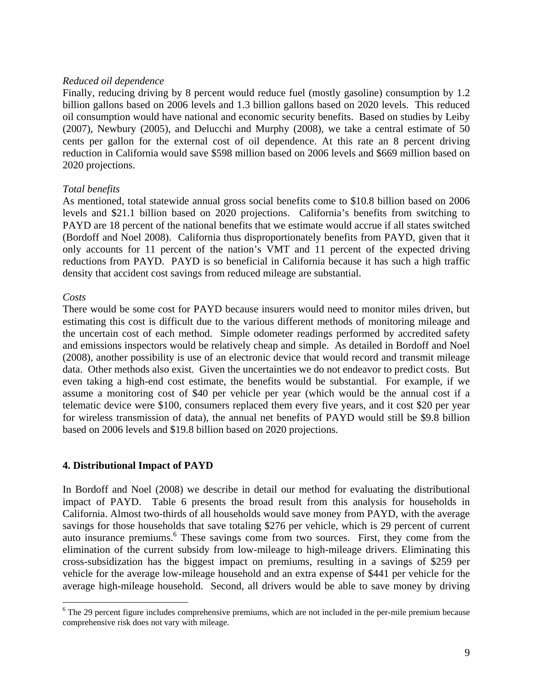#### *Reduced oil dependence*

Finally, reducing driving by 8 percent would reduce fuel (mostly gasoline) consumption by 1.2 billion gallons based on 2006 levels and 1.3 billion gallons based on 2020 levels. This reduced oil consumption would have national and economic security benefits. Based on studies by Leiby (2007), Newbury (2005), and Delucchi and Murphy (2008), we take a central estimate of 50 cents per gallon for the external cost of oil dependence. At this rate an 8 percent driving reduction in California would save \$598 million based on 2006 levels and \$669 million based on 2020 projections.

## *Total benefits*

As mentioned, total statewide annual gross social benefits come to \$10.8 billion based on 2006 levels and \$21.1 billion based on 2020 projections. California's benefits from switching to PAYD are 18 percent of the national benefits that we estimate would accrue if all states switched (Bordoff and Noel 2008). California thus disproportionately benefits from PAYD, given that it only accounts for 11 percent of the nation's VMT and 11 percent of the expected driving reductions from PAYD. PAYD is so beneficial in California because it has such a high traffic density that accident cost savings from reduced mileage are substantial.

## *Costs*

There would be some cost for PAYD because insurers would need to monitor miles driven, but estimating this cost is difficult due to the various different methods of monitoring mileage and the uncertain cost of each method. Simple odometer readings performed by accredited safety and emissions inspectors would be relatively cheap and simple. As detailed in Bordoff and Noel (2008), another possibility is use of an electronic device that would record and transmit mileage data. Other methods also exist. Given the uncertainties we do not endeavor to predict costs. But even taking a high-end cost estimate, the benefits would be substantial. For example, if we assume a monitoring cost of \$40 per vehicle per year (which would be the annual cost if a telematic device were \$100, consumers replaced them every five years, and it cost \$20 per year for wireless transmission of data), the annual net benefits of PAYD would still be \$9.8 billion based on 2006 levels and \$19.8 billion based on 2020 projections.

## **4. Distributional Impact of PAYD**

In Bordoff and Noel (2008) we describe in detail our method for evaluating the distributional impact of PAYD. Table 6 presents the broad result from this analysis for households in California. Almost two-thirds of all households would save money from PAYD, with the average savings for those households that save totaling \$276 per vehicle, which is 29 percent of current auto insurance premiums.<sup>6</sup> These savings come from two sources. First, they come from the elimination of the current subsidy from low-mileage to high-mileage drivers. Eliminating this cross-subsidization has the biggest impact on premiums, resulting in a savings of \$259 per vehicle for the average low-mileage household and an extra expense of \$441 per vehicle for the average high-mileage household. Second, all drivers would be able to save money by driving

<sup>&</sup>lt;sup>6</sup> The 29 percent figure includes comprehensive premiums, which are not included in the per-mile premium because comprehensive risk does not vary with mileage.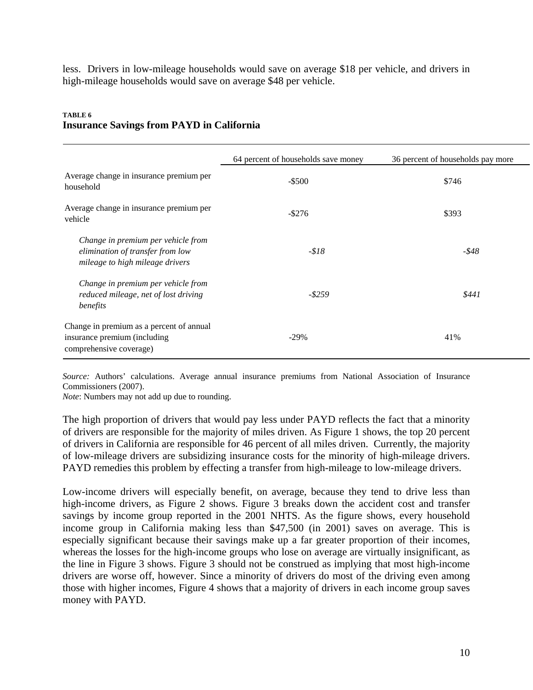less. Drivers in low-mileage households would save on average \$18 per vehicle, and drivers in high-mileage households would save on average \$48 per vehicle.

| TABLE 6                                          |  |  |  |
|--------------------------------------------------|--|--|--|
| <b>Insurance Savings from PAYD in California</b> |  |  |  |

|                                                                                                           | 64 percent of households save money | 36 percent of households pay more |
|-----------------------------------------------------------------------------------------------------------|-------------------------------------|-----------------------------------|
| Average change in insurance premium per<br>household                                                      | $-$ \$500                           | \$746                             |
| Average change in insurance premium per<br>vehicle                                                        | $-$ \$276                           | \$393                             |
| Change in premium per vehicle from<br>elimination of transfer from low<br>mileage to high mileage drivers | $- $18$                             | -\$48                             |
| Change in premium per vehicle from<br>reduced mileage, net of lost driving<br>benefits                    | $-$ \$259                           | \$441                             |
| Change in premium as a percent of annual<br>insurance premium (including<br>comprehensive coverage)       | $-29%$                              | 41%                               |

*Source:* Authors' calculations. Average annual insurance premiums from National Association of Insurance Commissioners (2007).

*Note*: Numbers may not add up due to rounding.

The high proportion of drivers that would pay less under PAYD reflects the fact that a minority of drivers are responsible for the majority of miles driven. As Figure 1 shows, the top 20 percent of drivers in California are responsible for 46 percent of all miles driven. Currently, the majority of low-mileage drivers are subsidizing insurance costs for the minority of high-mileage drivers. PAYD remedies this problem by effecting a transfer from high-mileage to low-mileage drivers.

Low-income drivers will especially benefit, on average, because they tend to drive less than high-income drivers, as Figure 2 shows. Figure 3 breaks down the accident cost and transfer savings by income group reported in the 2001 NHTS. As the figure shows, every household income group in California making less than \$47,500 (in 2001) saves on average. This is especially significant because their savings make up a far greater proportion of their incomes, whereas the losses for the high-income groups who lose on average are virtually insignificant, as the line in Figure 3 shows. Figure 3 should not be construed as implying that most high-income drivers are worse off, however. Since a minority of drivers do most of the driving even among those with higher incomes, Figure 4 shows that a majority of drivers in each income group saves money with PAYD.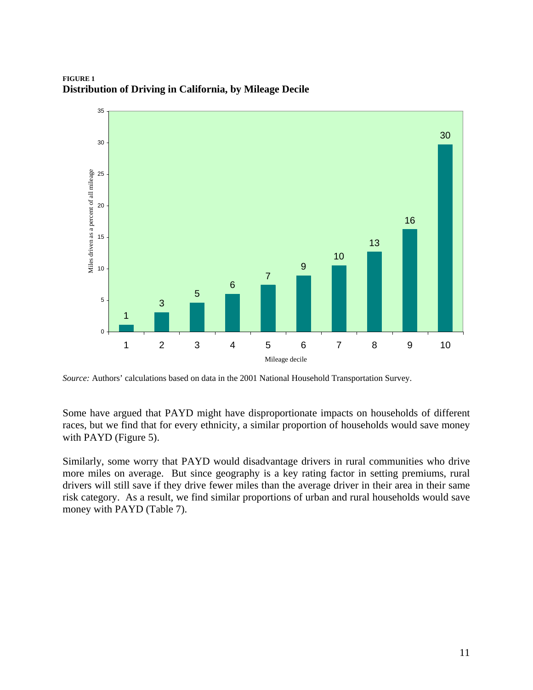**FIGURE 1 Distribution of Driving in California, by Mileage Decile** 



*Source:* Authors' calculations based on data in the 2001 National Household Transportation Survey.

Some have argued that PAYD might have disproportionate impacts on households of different races, but we find that for every ethnicity, a similar proportion of households would save money with PAYD (Figure 5).

Similarly, some worry that PAYD would disadvantage drivers in rural communities who drive more miles on average. But since geography is a key rating factor in setting premiums, rural drivers will still save if they drive fewer miles than the average driver in their area in their same risk category. As a result, we find similar proportions of urban and rural households would save money with PAYD (Table 7).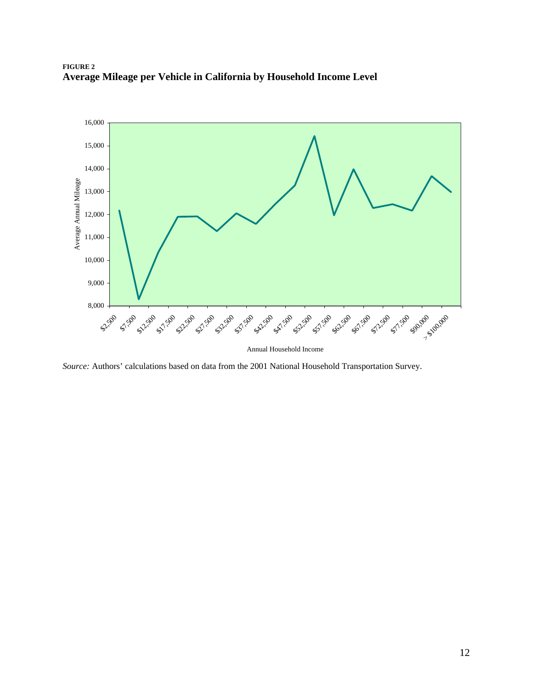



*Source:* Authors' calculations based on data from the 2001 National Household Transportation Survey.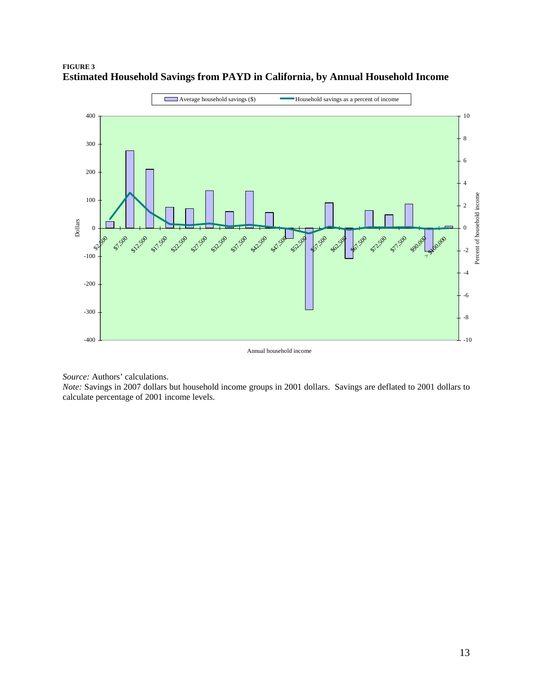

## **FIGURE 3 Estimated Household Savings from PAYD in California, by Annual Household Income**

Annual household income

*Source:* Authors' calculations.

*Note:* Savings in 2007 dollars but household income groups in 2001 dollars. Savings are deflated to 2001 dollars to calculate percentage of 2001 income levels.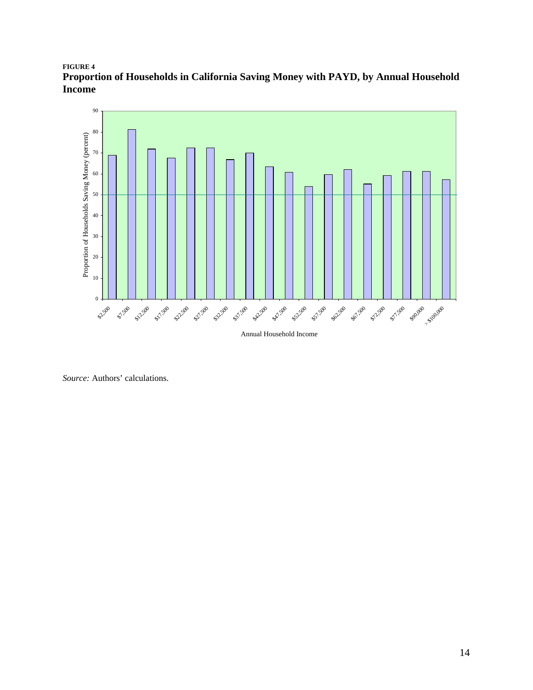## **FIGURE 4 Proportion of Households in California Saving Money with PAYD, by Annual Household Income**



*Source:* Authors' calculations.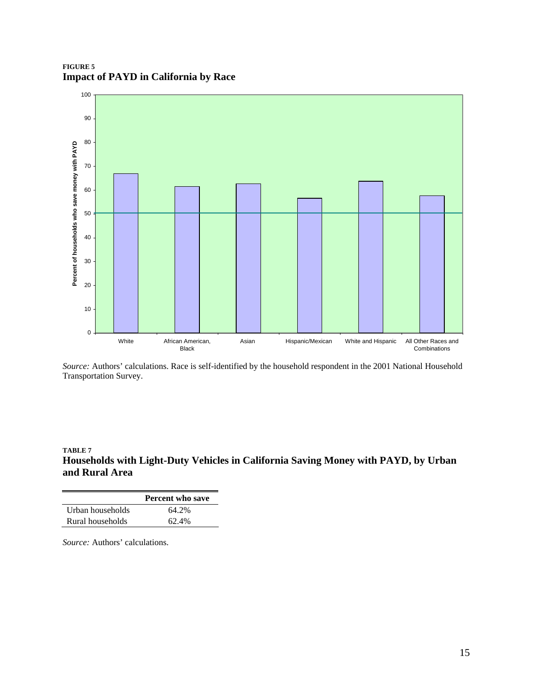**FIGURE 5 Impact of PAYD in California by Race** 



*Source:* Authors' calculations. Race is self-identified by the household respondent in the 2001 National Household Transportation Survey.

#### **TABLE 7 Households with Light-Duty Vehicles in California Saving Money with PAYD, by Urban and Rural Area**

|                  | <b>Percent who save</b> |
|------------------|-------------------------|
| Urban households | 64.2%                   |
| Rural households | 62.4%                   |

*Source:* Authors' calculations.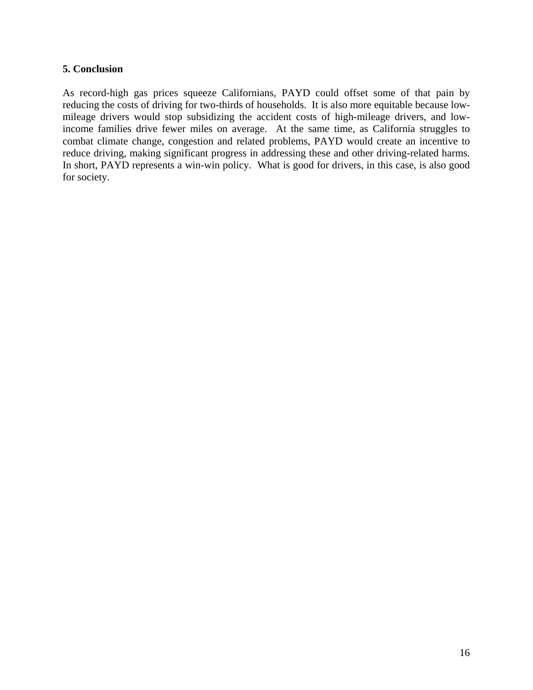## **5. Conclusion**

As record-high gas prices squeeze Californians, PAYD could offset some of that pain by reducing the costs of driving for two-thirds of households. It is also more equitable because lowmileage drivers would stop subsidizing the accident costs of high-mileage drivers, and lowincome families drive fewer miles on average. At the same time, as California struggles to combat climate change, congestion and related problems, PAYD would create an incentive to reduce driving, making significant progress in addressing these and other driving-related harms. In short, PAYD represents a win-win policy. What is good for drivers, in this case, is also good for society.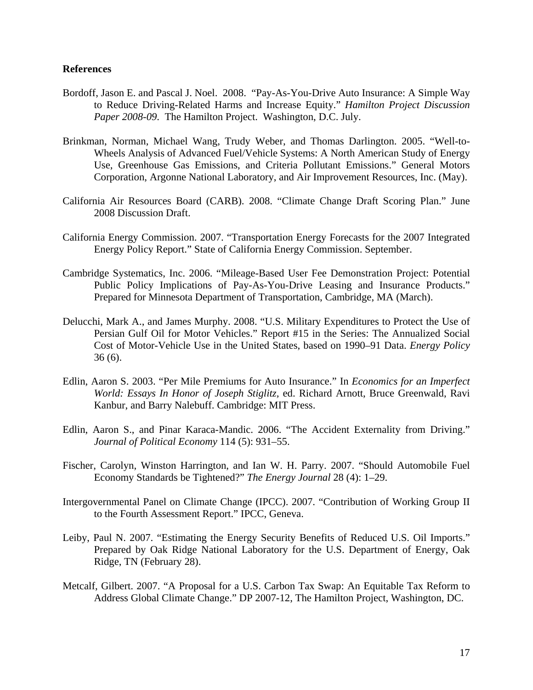#### **References**

- Bordoff, Jason E. and Pascal J. Noel. 2008. "Pay-As-You-Drive Auto Insurance: A Simple Way to Reduce Driving-Related Harms and Increase Equity." *Hamilton Project Discussion Paper 2008-09*. The Hamilton Project. Washington, D.C. July.
- Brinkman, Norman, Michael Wang, Trudy Weber, and Thomas Darlington. 2005. "Well-to-Wheels Analysis of Advanced Fuel/Vehicle Systems: A North American Study of Energy Use, Greenhouse Gas Emissions, and Criteria Pollutant Emissions." General Motors Corporation, Argonne National Laboratory, and Air Improvement Resources, Inc. (May).
- California Air Resources Board (CARB). 2008. "Climate Change Draft Scoring Plan." June 2008 Discussion Draft.
- California Energy Commission. 2007. "Transportation Energy Forecasts for the 2007 Integrated Energy Policy Report." State of California Energy Commission. September.
- Cambridge Systematics, Inc. 2006. "Mileage-Based User Fee Demonstration Project: Potential Public Policy Implications of Pay-As-You-Drive Leasing and Insurance Products." Prepared for Minnesota Department of Transportation, Cambridge, MA (March).
- Delucchi, Mark A., and James Murphy. 2008. "U.S. Military Expenditures to Protect the Use of Persian Gulf Oil for Motor Vehicles." Report #15 in the Series: The Annualized Social Cost of Motor-Vehicle Use in the United States, based on 1990–91 Data. *Energy Policy* 36 (6).
- Edlin, Aaron S. 2003. "Per Mile Premiums for Auto Insurance." In *Economics for an Imperfect World: Essays In Honor of Joseph Stiglitz,* ed. Richard Arnott, Bruce Greenwald, Ravi Kanbur, and Barry Nalebuff. Cambridge: MIT Press.
- Edlin, Aaron S., and Pinar Karaca-Mandic. 2006. "The Accident Externality from Driving." *Journal of Political Economy* 114 (5): 931–55.
- Fischer, Carolyn, Winston Harrington, and Ian W. H. Parry. 2007. "Should Automobile Fuel Economy Standards be Tightened?" *The Energy Journal* 28 (4): 1–29.
- Intergovernmental Panel on Climate Change (IPCC). 2007. "Contribution of Working Group II to the Fourth Assessment Report." IPCC, Geneva.
- Leiby, Paul N. 2007. "Estimating the Energy Security Benefits of Reduced U.S. Oil Imports." Prepared by Oak Ridge National Laboratory for the U.S. Department of Energy, Oak Ridge, TN (February 28).
- Metcalf, Gilbert. 2007. "A Proposal for a U.S. Carbon Tax Swap: An Equitable Tax Reform to Address Global Climate Change." DP 2007-12, The Hamilton Project, Washington, DC.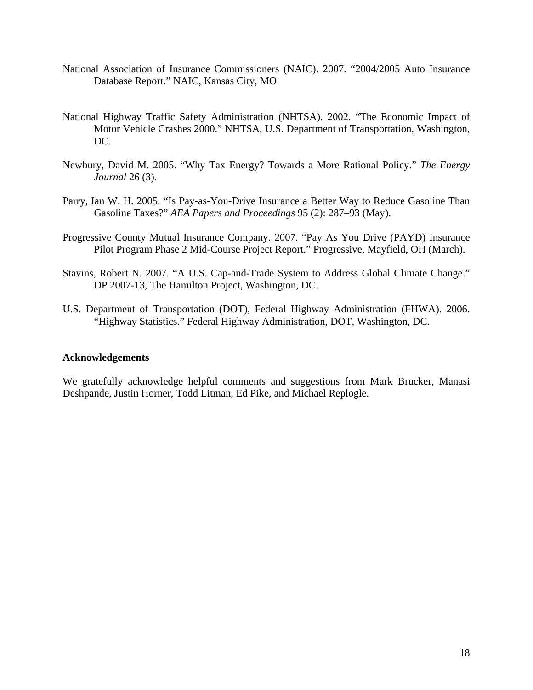- National Association of Insurance Commissioners (NAIC). 2007. "2004/2005 Auto Insurance Database Report." NAIC, Kansas City, MO
- National Highway Traffic Safety Administration (NHTSA). 2002. "The Economic Impact of Motor Vehicle Crashes 2000." NHTSA, U.S. Department of Transportation, Washington, DC.
- Newbury, David M. 2005. "Why Tax Energy? Towards a More Rational Policy." *The Energy Journal* 26 (3).
- Parry, Ian W. H. 2005. "Is Pay-as-You-Drive Insurance a Better Way to Reduce Gasoline Than Gasoline Taxes?" *AEA Papers and Proceedings* 95 (2): 287–93 (May).
- Progressive County Mutual Insurance Company. 2007. "Pay As You Drive (PAYD) Insurance Pilot Program Phase 2 Mid-Course Project Report." Progressive, Mayfield, OH (March).
- Stavins, Robert N. 2007. "A U.S. Cap-and-Trade System to Address Global Climate Change." DP 2007-13, The Hamilton Project, Washington, DC.
- U.S. Department of Transportation (DOT), Federal Highway Administration (FHWA). 2006. "Highway Statistics." Federal Highway Administration, DOT, Washington, DC.

## **Acknowledgements**

We gratefully acknowledge helpful comments and suggestions from Mark Brucker, Manasi Deshpande, Justin Horner, Todd Litman, Ed Pike, and Michael Replogle.